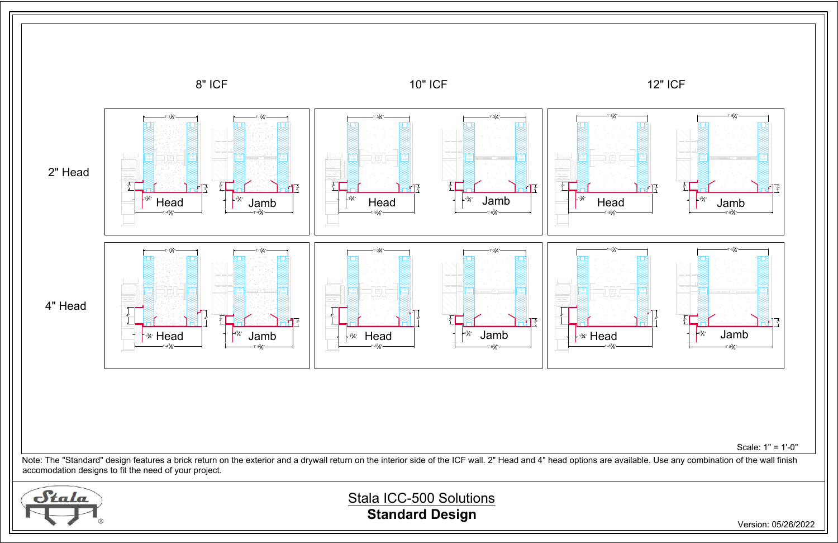

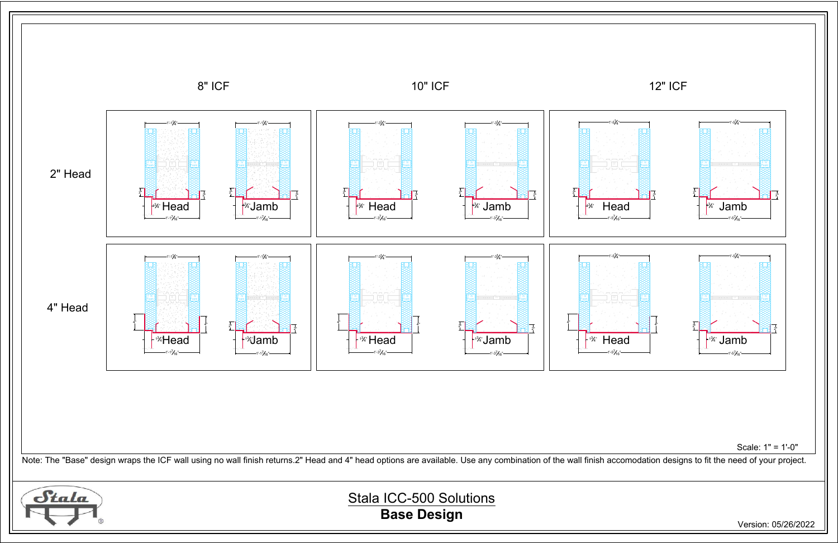Stala ICC-500 Solutions **Base Design**

## $2\frac{5}{8}$  2  $\frac{5}{8}$   $2\frac{5}{8}$   $\frac{1}{8}$   $\frac{25}{8}$   $\frac{1}{8}$   $\frac{25}{8}$   $\frac{1}{8}$   $\frac{25}{8}$   $\frac{1}{8}$   $\frac{25}{8}$   $\frac{1}{8}$   $\frac{1}{2}$   $\frac{1}{2}$   $\frac{1}{2}$   $\frac{1}{2}$   $\frac{1}{2}$ Foam Foam Foam 2" 2" 1'-5 7 16 " 16" 1'-5 7 16 " 2" 2"  $\begin{array}{|c|c|c|c|}\n \hline\n \end{array}$  Head  $\begin{array}{|c|c|c|}\n \hline\n \end{array}$ 3 4 "  $1^{3/2}$  Head  $1^{1/2}$ 3 4 " Jamb  $2\frac{5}{8}$  2  $\frac{5}{8}$   $2\frac{5}{8}$   $\frac{1}{8}$   $\frac{25}{8}$   $\frac{1}{8}$   $\frac{25}{8}$   $\frac{1}{8}$   $\frac{25}{8}$   $\frac{1}{8}$   $\frac{25}{8}$   $\frac{1}{8}$   $\frac{1}{2}$   $\frac{1}{2}$   $\frac{1}{2}$   $\frac{1}{2}$ Foam Foam Foam Jamb " 1'-5 1 4 " " 1'-5 1 4 " Scale: 1" = 1'-0"





Version: 05/26/2022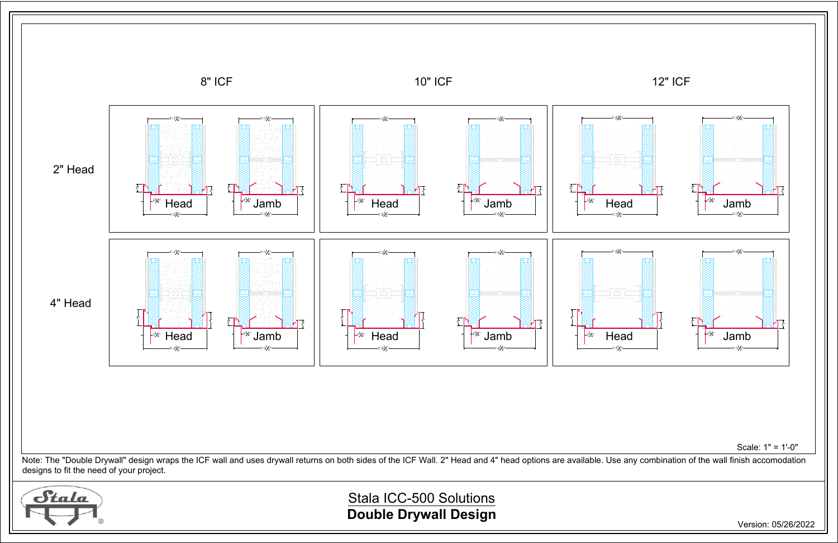